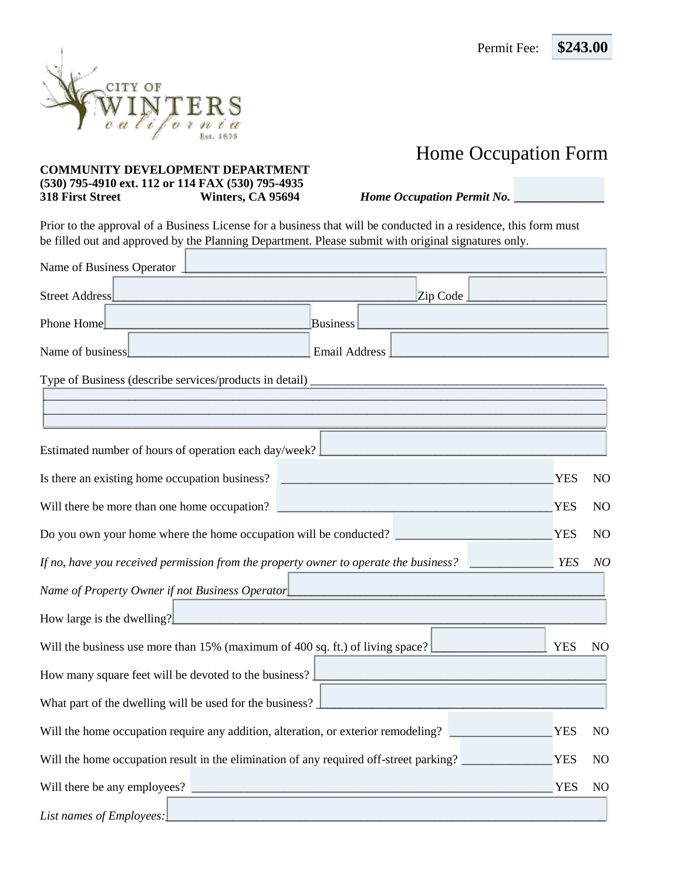

## **COMMUNITY DEVELOPMENT DEPARTMENT (530) 795-4910 ext. 112 or 114 FAX (530) 795-4935 318 First Street Winters, CA 95694** *Home Occupation Permit No. \_\_\_\_\_\_\_\_\_\_\_\_\_\_\_*

Prior to the approval of a Business License for a business that will be conducted in a residence, this form must be filled out and approved by the Planning Department. Please submit with original signatures only.

| Name of Business Operator                                                                   |                                                                                        |            |                |
|---------------------------------------------------------------------------------------------|----------------------------------------------------------------------------------------|------------|----------------|
| Street Address                                                                              | Zip Code                                                                               |            |                |
| Phone Home                                                                                  | <b>Business</b>                                                                        |            |                |
| Name of business<br>and the state of the state of the state of                              | Email Address                                                                          |            |                |
|                                                                                             |                                                                                        |            |                |
|                                                                                             |                                                                                        |            |                |
| Estimated number of hours of operation each day/week? [                                     |                                                                                        |            |                |
|                                                                                             |                                                                                        |            |                |
| Is there an existing home occupation business?                                              |                                                                                        | <b>YES</b> | N <sub>O</sub> |
| Will there be more than one home occupation?                                                |                                                                                        | <b>YES</b> | N <sub>O</sub> |
|                                                                                             | Do you own your home where the home occupation will be conducted?                      | <b>YES</b> | N <sub>O</sub> |
| If no, have you received permission from the property owner to operate the business? $\Box$ |                                                                                        | <b>YES</b> | NQ             |
| Name of Property Owner if not Business Operator                                             |                                                                                        |            |                |
| How large is the dwelling?                                                                  | the control of the control of the control of the control of the control of             |            |                |
| Will the business use more than 15% (maximum of 400 sq. ft.) of living space?               |                                                                                        | <b>YES</b> | N <sub>O</sub> |
| How many square feet will be devoted to the business?                                       |                                                                                        |            |                |
| What part of the dwelling will be used for the business?                                    | and the state of the state of the state                                                |            |                |
|                                                                                             | Will the home occupation require any addition, alteration, or exterior remodeling?     | <b>YES</b> | N <sub>O</sub> |
|                                                                                             | Will the home occupation result in the elimination of any required off-street parking? | <b>YES</b> | N <sub>O</sub> |
| Will there be any employees?                                                                |                                                                                        | <b>YES</b> | N <sub>O</sub> |
| List names of Employees:                                                                    |                                                                                        |            |                |



Home Occupation Form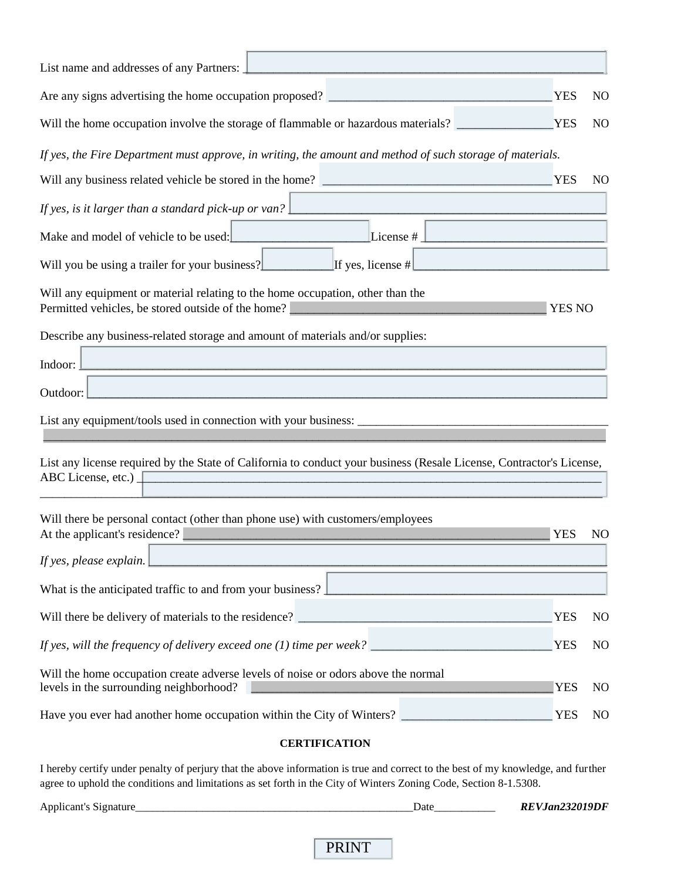| List name and addresses of any Partners:                                                                                                                                                           |               |                |
|----------------------------------------------------------------------------------------------------------------------------------------------------------------------------------------------------|---------------|----------------|
|                                                                                                                                                                                                    | <b>YES</b>    | N <sub>O</sub> |
| Will the home occupation involve the storage of flammable or hazardous materials?                                                                                                                  | <b>YES</b>    | N <sub>O</sub> |
| If yes, the Fire Department must approve, in writing, the amount and method of such storage of materials.                                                                                          |               |                |
|                                                                                                                                                                                                    | <b>YES</b>    | N <sub>O</sub> |
| If yes, is it larger than a standard pick-up or van?                                                                                                                                               |               |                |
| Make and model of vehicle to be used:<br>License $#$<br>and the state of the state of the state of                                                                                                 |               |                |
| Will you be using a trailer for your business?<br>If yes, license #                                                                                                                                |               |                |
| Will any equipment or material relating to the home occupation, other than the<br>Permitted vehicles, be stored outside of the home?                                                               | <b>YES NO</b> |                |
| Describe any business-related storage and amount of materials and/or supplies:                                                                                                                     |               |                |
| Indoor:<br>and the state of the state of the state of the state of the state of the state of                                                                                                       |               |                |
| Outdoor:                                                                                                                                                                                           |               |                |
|                                                                                                                                                                                                    |               |                |
| List any license required by the State of California to conduct your business (Resale License, Contractor's License,<br>ABC License, etc.)                                                         |               |                |
| Will there be personal contact (other than phone use) with customers/employees<br>At the applicant's residence?<br>the contract of the contract of the contract of the contract of the contract of | <b>YES</b>    | N <sub>O</sub> |
| If yes, please explain.                                                                                                                                                                            |               |                |
| What is the anticipated traffic to and from your business? $\perp$                                                                                                                                 |               |                |
|                                                                                                                                                                                                    | <b>YES</b>    | N <sub>O</sub> |
|                                                                                                                                                                                                    | <b>YES</b>    | N <sub>O</sub> |
| Will the home occupation create adverse levels of noise or odors above the normal<br>levels in the surrounding neighborhood?                                                                       | <b>YES</b>    | N <sub>O</sub> |
| Have you ever had another home occupation within the City of Winters?                                                                                                                              | <b>YES</b>    | N <sub>O</sub> |

## **CERTIFICATION**

I hereby certify under penalty of perjury that the above information is true and correct to the best of my knowledge, and further agree to uphold the conditions and limitations as set forth in the City of Winters Zoning Code, Section 8-1.5308.

Applicant's Signature\_\_\_\_\_\_\_\_\_\_\_\_\_\_\_\_\_\_\_\_\_\_\_\_\_\_\_\_\_\_\_\_\_\_\_\_\_\_\_\_\_\_\_\_\_\_\_\_\_\_Date\_\_\_\_\_\_\_\_\_\_\_ *REVJan232019DF*

PRINT